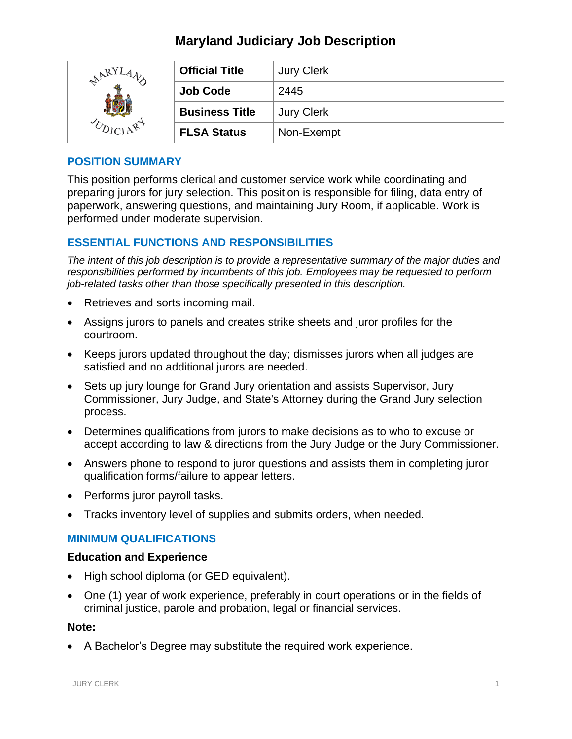## **Maryland Judiciary Job Description**

| $R^{RT}$ | <b>Official Title</b> | <b>Jury Clerk</b> |
|----------|-----------------------|-------------------|
|          | <b>Job Code</b>       | 2445              |
|          | <b>Business Title</b> | <b>Jury Clerk</b> |
|          | <b>FLSA Status</b>    | Non-Exempt        |

### **POSITION SUMMARY**

This position performs clerical and customer service work while coordinating and preparing jurors for jury selection. This position is responsible for filing, data entry of paperwork, answering questions, and maintaining Jury Room, if applicable. Work is performed under moderate supervision.

### **ESSENTIAL FUNCTIONS AND RESPONSIBILITIES**

*The intent of this job description is to provide a representative summary of the major duties and responsibilities performed by incumbents of this job. Employees may be requested to perform job-related tasks other than those specifically presented in this description.*

- Retrieves and sorts incoming mail.
- Assigns jurors to panels and creates strike sheets and juror profiles for the courtroom.
- Keeps jurors updated throughout the day; dismisses jurors when all judges are satisfied and no additional jurors are needed.
- Sets up jury lounge for Grand Jury orientation and assists Supervisor, Jury Commissioner, Jury Judge, and State's Attorney during the Grand Jury selection process.
- Determines qualifications from jurors to make decisions as to who to excuse or accept according to law & directions from the Jury Judge or the Jury Commissioner.
- Answers phone to respond to juror questions and assists them in completing juror qualification forms/failure to appear letters.
- Performs juror payroll tasks.
- Tracks inventory level of supplies and submits orders, when needed.

#### **MINIMUM QUALIFICATIONS**

#### **Education and Experience**

- High school diploma (or GED equivalent).
- One (1) year of work experience, preferably in court operations or in the fields of criminal justice, parole and probation, legal or financial services.

#### **Note:**

• A Bachelor's Degree may substitute the required work experience.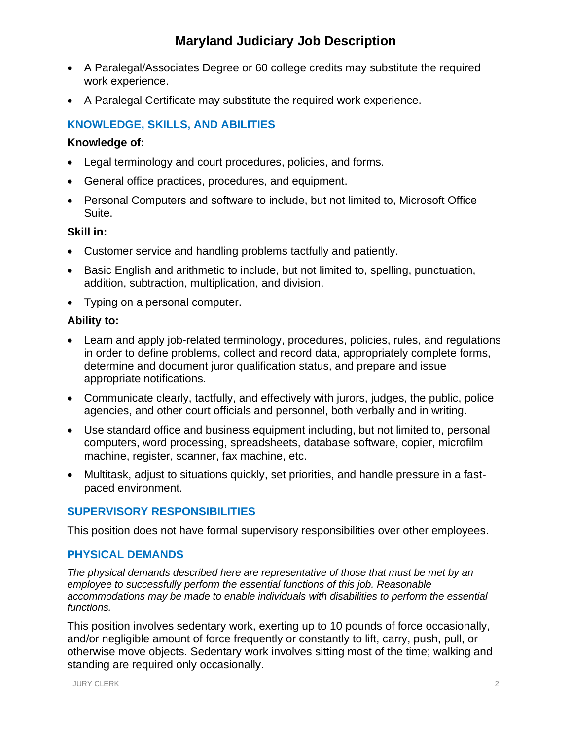# **Maryland Judiciary Job Description**

- A Paralegal/Associates Degree or 60 college credits may substitute the required work experience.
- A Paralegal Certificate may substitute the required work experience.

## **KNOWLEDGE, SKILLS, AND ABILITIES**

#### **Knowledge of:**

- Legal terminology and court procedures, policies, and forms.
- General office practices, procedures, and equipment.
- Personal Computers and software to include, but not limited to, Microsoft Office Suite.

#### **Skill in:**

- Customer service and handling problems tactfully and patiently.
- Basic English and arithmetic to include, but not limited to, spelling, punctuation, addition, subtraction, multiplication, and division.
- Typing on a personal computer.

### **Ability to:**

- Learn and apply job-related terminology, procedures, policies, rules, and regulations in order to define problems, collect and record data, appropriately complete forms, determine and document juror qualification status, and prepare and issue appropriate notifications.
- Communicate clearly, tactfully, and effectively with jurors, judges, the public, police agencies, and other court officials and personnel, both verbally and in writing.
- Use standard office and business equipment including, but not limited to, personal computers, word processing, spreadsheets, database software, copier, microfilm machine, register, scanner, fax machine, etc.
- Multitask, adjust to situations quickly, set priorities, and handle pressure in a fastpaced environment.

## **SUPERVISORY RESPONSIBILITIES**

This position does not have formal supervisory responsibilities over other employees.

#### **PHYSICAL DEMANDS**

*The physical demands described here are representative of those that must be met by an employee to successfully perform the essential functions of this job. Reasonable accommodations may be made to enable individuals with disabilities to perform the essential functions.*

This position involves sedentary work, exerting up to 10 pounds of force occasionally, and/or negligible amount of force frequently or constantly to lift, carry, push, pull, or otherwise move objects. Sedentary work involves sitting most of the time; walking and standing are required only occasionally.